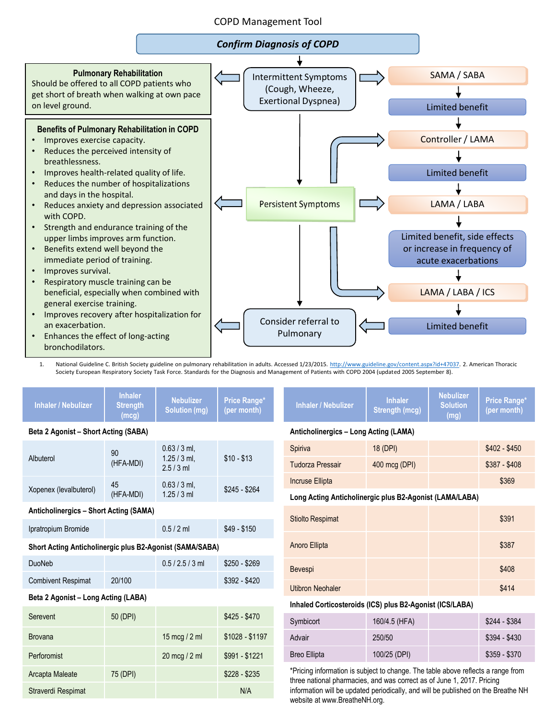### COPD Management Tool



1. National Guideline C. British Society guideline on pulmonary rehabilitation in adults. Accessed 1/23/2015. [http://www.guideline.gov/content.aspx?id+47037.](http://www.guideline.gov/content.aspx?id+47037) 2. American Thoracic Society European Respiratory Society Task Force. Standards for the Diagnosis and Management of Patients with COPD 2004 (updated 2005 September 8).

| <b>Inhaler / Nebulizer</b>                               | <b>Inhaler</b><br><b>Strength</b><br>(mcg) | <b>Nebulizer</b><br><b>Solution (mg)</b>       | <b>Price Range*</b><br>(per month)                       | <b>Inhaler / Nebulizer</b>                                                                                                                                                                                                                      | <b>Inhaler</b><br><b>Strength (mcg)</b> | <b>Nebulizer</b><br><b>Solution</b><br>(mg) | Price Range*<br>(per month) |
|----------------------------------------------------------|--------------------------------------------|------------------------------------------------|----------------------------------------------------------|-------------------------------------------------------------------------------------------------------------------------------------------------------------------------------------------------------------------------------------------------|-----------------------------------------|---------------------------------------------|-----------------------------|
| Beta 2 Agonist - Short Acting (SABA)                     |                                            |                                                |                                                          | Anticholinergics - Long Acting (LAMA)                                                                                                                                                                                                           |                                         |                                             |                             |
| Albuterol                                                | 90<br>(HFA-MDI)                            | $0.63 / 3$ ml,<br>$1.25 / 3$ ml,<br>$2.5/3$ ml | $$10 - $13$                                              | Spiriva                                                                                                                                                                                                                                         | 18 (DPI)                                |                                             | $$402 - $450$               |
|                                                          |                                            |                                                |                                                          | <b>Tudorza Pressair</b>                                                                                                                                                                                                                         | 400 mcg (DPI)                           |                                             | $$387 - $408$               |
| Xopenex (levalbuterol)                                   | 45                                         | $0.63 / 3$ ml.                                 | $$245 - $264$                                            | Incruse Ellipta                                                                                                                                                                                                                                 |                                         |                                             | \$369                       |
|                                                          | (HFA-MDI)                                  | $1.25 / 3$ ml                                  |                                                          | Long Acting Anticholinergic plus B2-Agonist (LAMA/LABA)                                                                                                                                                                                         |                                         |                                             |                             |
| <b>Anticholinergics - Short Acting (SAMA)</b>            |                                            |                                                |                                                          | <b>Stiolto Respimat</b>                                                                                                                                                                                                                         |                                         |                                             | \$391                       |
| Ipratropium Bromide                                      |                                            | $0.5 / 2$ ml                                   | $$49 - $150$                                             |                                                                                                                                                                                                                                                 |                                         |                                             |                             |
| Short Acting Anticholinergic plus B2-Agonist (SAMA/SABA) |                                            |                                                | Anoro Ellipta                                            |                                                                                                                                                                                                                                                 |                                         | \$387                                       |                             |
| <b>DuoNeb</b>                                            |                                            | $0.5 / 2.5 / 3$ ml                             | $$250 - $269$                                            | Bevespi                                                                                                                                                                                                                                         |                                         |                                             | \$408                       |
| <b>Combivent Respimat</b>                                | 20/100                                     |                                                | $$392 - $420$                                            |                                                                                                                                                                                                                                                 |                                         |                                             |                             |
| Beta 2 Agonist - Long Acting (LABA)                      |                                            |                                                |                                                          | <b>Utibron Neohaler</b>                                                                                                                                                                                                                         |                                         |                                             | \$414                       |
|                                                          |                                            |                                                | Inhaled Corticosteroids (ICS) plus B2-Agonist (ICS/LABA) |                                                                                                                                                                                                                                                 |                                         |                                             |                             |
| Serevent                                                 | 50 (DPI)                                   |                                                | $$425 - $470$                                            | Symbicort                                                                                                                                                                                                                                       | 160/4.5 (HFA)                           |                                             | $$244 - $384$               |
| <b>Brovana</b>                                           |                                            | 15 mcg / 2 ml                                  | $$1028 - $1197$                                          | Advair                                                                                                                                                                                                                                          | 250/50                                  |                                             | $$394 - $430$               |
| Perforomist                                              |                                            | 20 mcg / 2 ml                                  | $$991 - $1221$                                           | <b>Breo Ellipta</b>                                                                                                                                                                                                                             | 100/25 (DPI)                            |                                             | $$359 - $370$               |
| Arcapta Maleate                                          | 75 (DPI)                                   |                                                | $$228 - $235$                                            | *Pricing information is subject to change. The table above reflects a range from<br>three national pharmacies, and was correct as of June 1, 2017. Pricing<br>information will be updated periodically, and will be published on the Breathe NH |                                         |                                             |                             |
| Straverdi Respimat                                       |                                            |                                                | N/A                                                      |                                                                                                                                                                                                                                                 |                                         |                                             |                             |

website at www.BreatheNH.org.